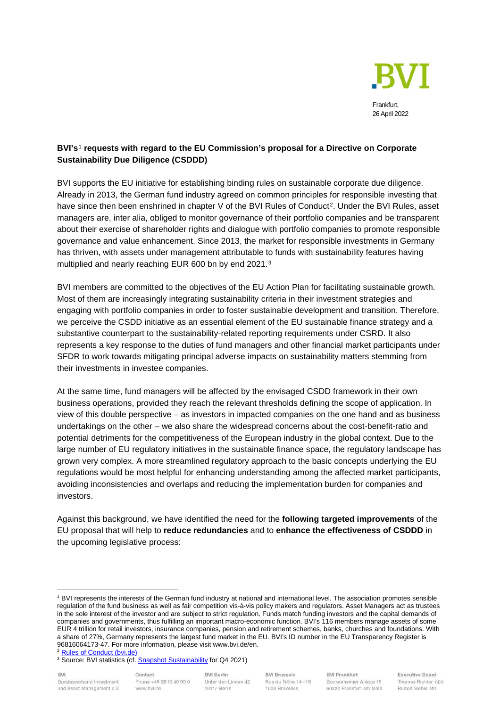

# **BVI's**[1](#page-0-0) **requests with regard to the EU Commission's proposal for a Directive on Corporate Sustainability Due Diligence (CSDDD)**

BVI supports the EU initiative for establishing binding rules on sustainable corporate due diligence. Already in 2013, the German fund industry agreed on common principles for responsible investing that have since then been enshrined in chapter V of the BVI Rules of Conduct<sup>[2](#page-0-1)</sup>. Under the BVI Rules, asset managers are, inter alia, obliged to monitor governance of their portfolio companies and be transparent about their exercise of shareholder rights and dialogue with portfolio companies to promote responsible governance and value enhancement. Since 2013, the market for responsible investments in Germany has thriven, with assets under management attributable to funds with sustainability features having multiplied and nearly reaching EUR 600 bn by end 2021.[3](#page-0-2)

BVI members are committed to the objectives of the EU Action Plan for facilitating sustainable growth. Most of them are increasingly integrating sustainability criteria in their investment strategies and engaging with portfolio companies in order to foster sustainable development and transition. Therefore, we perceive the CSDD initiative as an essential element of the EU sustainable finance strategy and a substantive counterpart to the sustainability-related reporting requirements under CSRD. It also represents a key response to the duties of fund managers and other financial market participants under SFDR to work towards mitigating principal adverse impacts on sustainability matters stemming from their investments in investee companies.

At the same time, fund managers will be affected by the envisaged CSDD framework in their own business operations, provided they reach the relevant thresholds defining the scope of application. In view of this double perspective – as investors in impacted companies on the one hand and as business undertakings on the other – we also share the widespread concerns about the cost-benefit-ratio and potential detriments for the competitiveness of the European industry in the global context. Due to the large number of EU regulatory initiatives in the sustainable finance space, the regulatory landscape has grown very complex. A more streamlined regulatory approach to the basic concepts underlying the EU regulations would be most helpful for enhancing understanding among the affected market participants, avoiding inconsistencies and overlaps and reducing the implementation burden for companies and investors.

Against this background, we have identified the need for the **following targeted improvements** of the EU proposal that will help to **reduce redundancies** and to **enhance the effectiveness of CSDDD** in the upcoming legislative process:

BVI Bundesverband Investment und Asset Management e.V.

Contact Phone +49 69 15 40 90 0 www.bvi.de

**BVI Frankfurt** Bockenheimer Anlage 15 60322 Frankfurt am Main

<span id="page-0-0"></span><sup>1</sup> BVI represents the interests of the German fund industry at national and international level. The association promotes sensible regulation of the fund business as well as fair competition vis-à-vis policy makers and regulators. Asset Managers act as trustees in the sole interest of the investor and are subject to strict regulation. Funds match funding investors and the capital demands of companies and governments, thus fulfilling an important macro-economic function. BVI's 116 members manage assets of some EUR 4 trillion for retail investors, insurance companies, pension and retirement schemes, banks, churches and foundations. With a share of 27%, Germany represents the largest fund market in the EU. BVI's ID number in the EU Transparency Register is 96816064173-47. For more information, please visit www.bvi.de/en.

<span id="page-0-1"></span><sup>2</sup> [Rules of Conduct \(bvi.de\)](https://www.bvi.de/en/about-the-industry/rules-of-conduct/)

<span id="page-0-2"></span><sup>&</sup>lt;sup>3</sup> Source: BVI statistics (cf[. Snapshot Sustainability](https://www.bvi.de/uploads/tx_bvibcenter/Snapshot_Sustainability__Q4_2021__web.pdf) for Q4 2021)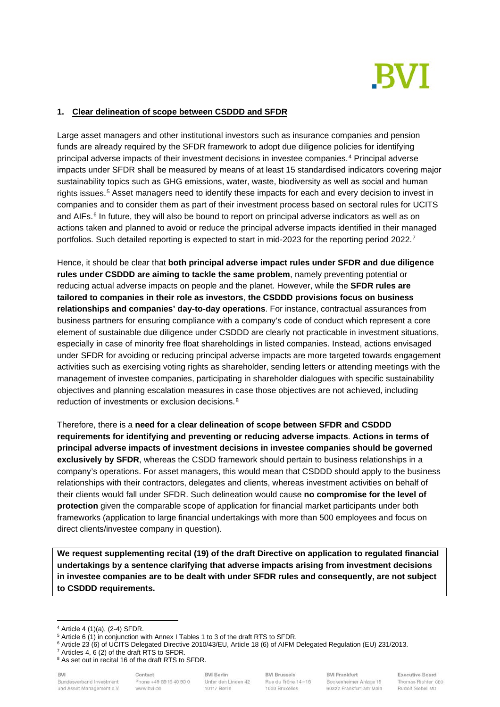

## **1. Clear delineation of scope between CSDDD and SFDR**

Large asset managers and other institutional investors such as insurance companies and pension funds are already required by the SFDR framework to adopt due diligence policies for identifying principal adverse impacts of their investment decisions in investee companies.[4](#page-1-0) Principal adverse impacts under SFDR shall be measured by means of at least 15 standardised indicators covering major sustainability topics such as GHG emissions, water, waste, biodiversity as well as social and human rights issues.[5](#page-1-1) Asset managers need to identify these impacts for each and every decision to invest in companies and to consider them as part of their investment process based on sectoral rules for UCITS and AIFs.<sup>[6](#page-1-2)</sup> In future, they will also be bound to report on principal adverse indicators as well as on actions taken and planned to avoid or reduce the principal adverse impacts identified in their managed portfolios. Such detailed reporting is expected to start in mid-2023 for the reporting period 2022.[7](#page-1-3)

Hence, it should be clear that **both principal adverse impact rules under SFDR and due diligence rules under CSDDD are aiming to tackle the same problem**, namely preventing potential or reducing actual adverse impacts on people and the planet. However, while the **SFDR rules are tailored to companies in their role as investors**, **the CSDDD provisions focus on business relationships and companies' day-to-day operations**. For instance, contractual assurances from business partners for ensuring compliance with a company's code of conduct which represent a core element of sustainable due diligence under CSDDD are clearly not practicable in investment situations, especially in case of minority free float shareholdings in listed companies. Instead, actions envisaged under SFDR for avoiding or reducing principal adverse impacts are more targeted towards engagement activities such as exercising voting rights as shareholder, sending letters or attending meetings with the management of investee companies, participating in shareholder dialogues with specific sustainability objectives and planning escalation measures in case those objectives are not achieved, including reduction of investments or exclusion decisions.<sup>[8](#page-1-4)</sup>

Therefore, there is a **need for a clear delineation of scope between SFDR and CSDDD requirements for identifying and preventing or reducing adverse impacts**. **Actions in terms of principal adverse impacts of investment decisions in investee companies should be governed exclusively by SFDR**, whereas the CSDD framework should pertain to business relationships in a company's operations. For asset managers, this would mean that CSDDD should apply to the business relationships with their contractors, delegates and clients, whereas investment activities on behalf of their clients would fall under SFDR. Such delineation would cause **no compromise for the level of protection** given the comparable scope of application for financial market participants under both frameworks (application to large financial undertakings with more than 500 employees and focus on direct clients/investee company in question).

**We request supplementing recital (19) of the draft Directive on application to regulated financial undertakings by a sentence clarifying that adverse impacts arising from investment decisions in investee companies are to be dealt with under SFDR rules and consequently, are not subject to CSDDD requirements.**

BVI Bundesverband Investment und Asset Management e.V.

Contact Phone +49 69 15 40 90 0 www.bvi.de

**BVI Berlin** Unter den Linden 42 10117 Berlin

**BVI Frankfurt** Bockenheimer Anlage 15 60322 Frankfurt am Main

**Executive Board** Thomas Richter CEO Rudolf Siebel MD

<sup>4</sup> Article 4 (1)(a), (2-4) SFDR.

<span id="page-1-2"></span><span id="page-1-1"></span><span id="page-1-0"></span><sup>&</sup>lt;sup>5</sup> Article 6 (1) in conjunction with Annex I Tables 1 to 3 of the draft RTS to SFDR.

 $6$  Article 23 (6) of UCITS Delegated Directive 2010/43/EU, Article 18 (6) of AIFM Delegated Regulation (EU) 231/2013.

<span id="page-1-3"></span><sup>7</sup> Articles 4, 6 (2) of the draft RTS to SFDR.

<span id="page-1-4"></span><sup>&</sup>lt;sup>8</sup> As set out in recital 16 of the draft RTS to SFDR.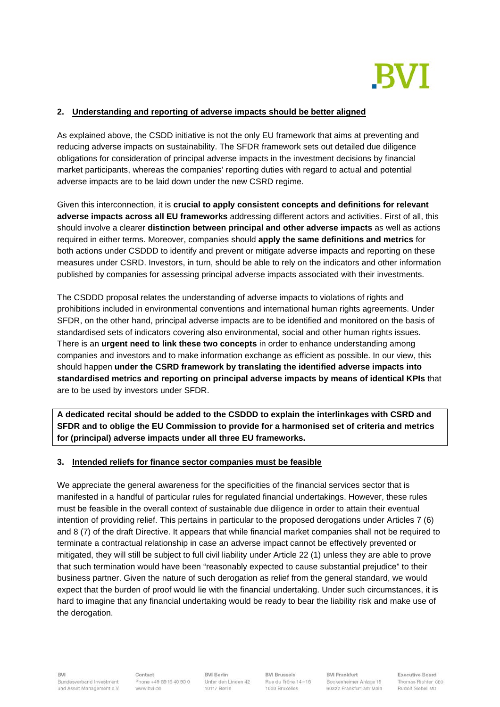

## **2. Understanding and reporting of adverse impacts should be better aligned**

As explained above, the CSDD initiative is not the only EU framework that aims at preventing and reducing adverse impacts on sustainability. The SFDR framework sets out detailed due diligence obligations for consideration of principal adverse impacts in the investment decisions by financial market participants, whereas the companies' reporting duties with regard to actual and potential adverse impacts are to be laid down under the new CSRD regime.

Given this interconnection, it is **crucial to apply consistent concepts and definitions for relevant adverse impacts across all EU frameworks** addressing different actors and activities. First of all, this should involve a clearer **distinction between principal and other adverse impacts** as well as actions required in either terms. Moreover, companies should **apply the same definitions and metrics** for both actions under CSDDD to identify and prevent or mitigate adverse impacts and reporting on these measures under CSRD. Investors, in turn, should be able to rely on the indicators and other information published by companies for assessing principal adverse impacts associated with their investments.

The CSDDD proposal relates the understanding of adverse impacts to violations of rights and prohibitions included in environmental conventions and international human rights agreements. Under SFDR, on the other hand, principal adverse impacts are to be identified and monitored on the basis of standardised sets of indicators covering also environmental, social and other human rights issues. There is an **urgent need to link these two concepts** in order to enhance understanding among companies and investors and to make information exchange as efficient as possible. In our view, this should happen **under the CSRD framework by translating the identified adverse impacts into standardised metrics and reporting on principal adverse impacts by means of identical KPIs** that are to be used by investors under SFDR.

**A dedicated recital should be added to the CSDDD to explain the interlinkages with CSRD and SFDR and to oblige the EU Commission to provide for a harmonised set of criteria and metrics for (principal) adverse impacts under all three EU frameworks.**

## **3. Intended reliefs for finance sector companies must be feasible**

We appreciate the general awareness for the specificities of the financial services sector that is manifested in a handful of particular rules for regulated financial undertakings. However, these rules must be feasible in the overall context of sustainable due diligence in order to attain their eventual intention of providing relief. This pertains in particular to the proposed derogations under Articles 7 (6) and 8 (7) of the draft Directive. It appears that while financial market companies shall not be required to terminate a contractual relationship in case an adverse impact cannot be effectively prevented or mitigated, they will still be subject to full civil liability under Article 22 (1) unless they are able to prove that such termination would have been "reasonably expected to cause substantial prejudice" to their business partner. Given the nature of such derogation as relief from the general standard, we would expect that the burden of proof would lie with the financial undertaking. Under such circumstances, it is hard to imagine that any financial undertaking would be ready to bear the liability risk and make use of the derogation.

Contact Phone +49 69 15 40 90 0 www.bvi.de

**BVI Berlin** Unter den Linden 42 10117 Berlin

**BVI Brussels** Rue du Trône 14-16 1000 Bruxelles

**BVI Frankfurt** Bockenheimer Anlage 15 60322 Frankfurt am Main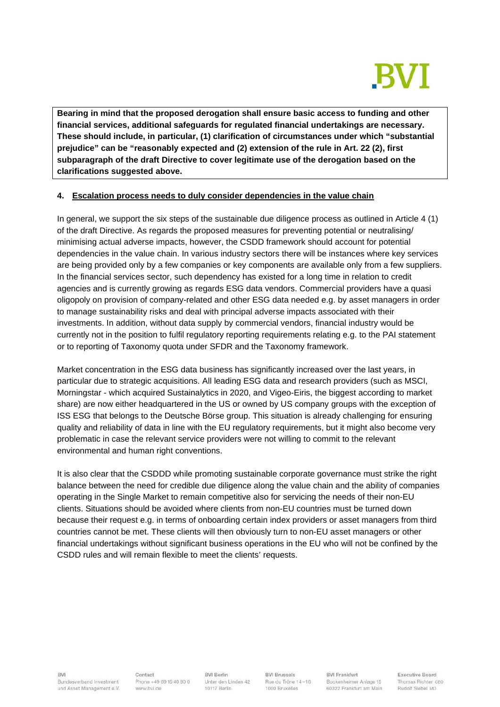

**Bearing in mind that the proposed derogation shall ensure basic access to funding and other financial services, additional safeguards for regulated financial undertakings are necessary. These should include, in particular, (1) clarification of circumstances under which "substantial prejudice" can be "reasonably expected and (2) extension of the rule in Art. 22 (2), first subparagraph of the draft Directive to cover legitimate use of the derogation based on the clarifications suggested above.**

## **4. Escalation process needs to duly consider dependencies in the value chain**

In general, we support the six steps of the sustainable due diligence process as outlined in Article 4 (1) of the draft Directive. As regards the proposed measures for preventing potential or neutralising/ minimising actual adverse impacts, however, the CSDD framework should account for potential dependencies in the value chain. In various industry sectors there will be instances where key services are being provided only by a few companies or key components are available only from a few suppliers. In the financial services sector, such dependency has existed for a long time in relation to credit agencies and is currently growing as regards ESG data vendors. Commercial providers have a quasi oligopoly on provision of company-related and other ESG data needed e.g. by asset managers in order to manage sustainability risks and deal with principal adverse impacts associated with their investments. In addition, without data supply by commercial vendors, financial industry would be currently not in the position to fulfil regulatory reporting requirements relating e.g. to the PAI statement or to reporting of Taxonomy quota under SFDR and the Taxonomy framework.

Market concentration in the ESG data business has significantly increased over the last years, in particular due to strategic acquisitions. All leading ESG data and research providers (such as MSCI, Morningstar - which acquired Sustainalytics in 2020, and Vigeo-Eiris, the biggest according to market share) are now either headquartered in the US or owned by US company groups with the exception of ISS ESG that belongs to the Deutsche Börse group. This situation is already challenging for ensuring quality and reliability of data in line with the EU regulatory requirements, but it might also become very problematic in case the relevant service providers were not willing to commit to the relevant environmental and human right conventions.

It is also clear that the CSDDD while promoting sustainable corporate governance must strike the right balance between the need for credible due diligence along the value chain and the ability of companies operating in the Single Market to remain competitive also for servicing the needs of their non-EU clients. Situations should be avoided where clients from non-EU countries must be turned down because their request e.g. in terms of onboarding certain index providers or asset managers from third countries cannot be met. These clients will then obviously turn to non-EU asset managers or other financial undertakings without significant business operations in the EU who will not be confined by the CSDD rules and will remain flexible to meet the clients' requests.

BVI Bundesverband Investment und Asset Management e.V.

Contact Phone +49 69 15 40 90 0 www.bvi.de

**BVI Berlin** Unter den Linden 42 10117 Berlin

**BVI Brussels** Rue du Trône 14-16 1000 Bruxelles

**BVI Frankfurt** Bockenheimer Anlage 15 60322 Frankfurt am Main **Executive Board** Thomas Richter CEO Rudolf Siebel MD